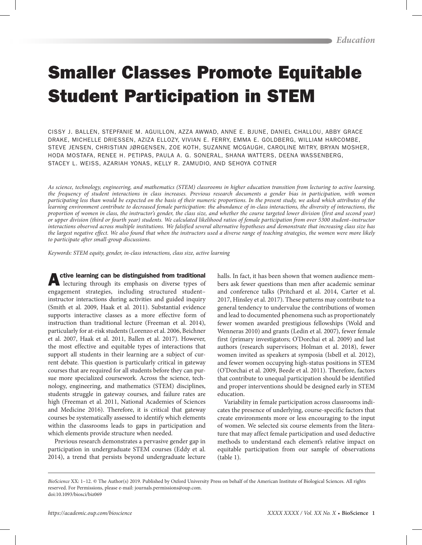# Smaller Classes Promote Equitable Student Participation in STEM

CISSY J. BALLEN, STEPFANIE M. AGUILLON, AZZA AWWAD, ANNE E. BJUNE, DANIEL CHALLOU, ABBY GRACE DRAKE, MICHELLE DRIESSEN, AZIZA ELLOZY, VIVIAN E. FERRY, EMMA E. GOLDBERG, WILLIAM HARCOMBE, STEVE JENSEN, CHRISTIAN JØRGENSEN, ZOE KOTH, SUZANNE MCGAUGH, CAROLINE MITRY, BRYAN MOSHER, HODA MOSTAFA, RENEE H. PETIPAS, PAULA A. G. SONERAL, SHANA WATTERS, DEENA WASSENBERG, STACEY L. WEISS, AZARIAH YONAS, KELLY R. ZAMUDIO, AND SEHOYA COTNER

*As science, technology, engineering, and mathematics (STEM) classrooms in higher education transition from lecturing to active learning, the frequency of student interactions in class increases. Previous research documents a gender bias in participation, with women participating less than would be expected on the basis of their numeric proportions. In the present study, we asked which attributes of the*  learning environment contribute to decreased female participation: the abundance of in-class interactions, the diversity of interactions, the *proportion of women in class, the instructor's gender, the class size, and whether the course targeted lower division (first and second year) or upper division (third or fourth year) students. We calculated likelihood ratios of female participation from over 5300 student–instructor interactions observed across multiple institutions. We falsified several alternative hypotheses and demonstrate that increasing class size has the largest negative effect. We also found that when the instructors used a diverse range of teaching strategies, the women were more likely to participate after small-group discussions.*

*Keywords: STEM equity, gender, in-class interactions, class size, active learning*

Active learning can be distinguished from traditional lecturing through its emphasis on diverse types of engagement strategies, including structured student– instructor interactions during activities and guided inquiry (Smith et al. 2009, Haak et al. 2011). Substantial evidence supports interactive classes as a more effective form of instruction than traditional lecture (Freeman et al. 2014), particularly for at-risk students (Lorenzo et al. 2006, Beichner et al. 2007, Haak et al. 2011, Ballen et al. 2017). However, the most effective and equitable types of interactions that support all students in their learning are a subject of current debate. This question is particularly critical in gateway courses that are required for all students before they can pursue more specialized coursework. Across the science, technology, engineering, and mathematics (STEM) disciplines, students struggle in gateway courses, and failure rates are high (Freeman et al. 2011, National Academies of Sciences and Medicine 2016). Therefore, it is critical that gateway courses be systematically assessed to identify which elements within the classrooms leads to gaps in participation and which elements provide structure when needed.

Previous research demonstrates a pervasive gender gap in participation in undergraduate STEM courses (Eddy et al. 2014), a trend that persists beyond undergraduate lecture halls. In fact, it has been shown that women audience members ask fewer questions than men after academic seminar and conference talks (Pritchard et al. 2014, Carter et al. 2017, Hinsley et al. 2017). These patterns may contribute to a general tendency to undervalue the contributions of women and lead to documented phenomena such as proportionately fewer women awarded prestigious fellowships (Wold and Wenneras 2010) and grants (Ledin et al. 2007), fewer female first (primary investigators; O'Dorchai et al. 2009) and last authors (research supervisors; Holman et al. 2018), fewer women invited as speakers at symposia (Isbell et al. 2012), and fewer women occupying high-status positions in STEM (O'Dorchai et al. 2009, Beede et al. 2011). Therefore, factors that contribute to unequal participation should be identified and proper interventions should be designed early in STEM education.

Variability in female participation across classrooms indicates the presence of underlying, course-specific factors that create environments more or less encouraging to the input of women. We selected six course elements from the literature that may affect female participation and used deductive methods to understand each element's relative impact on equitable participation from our sample of observations (table 1).

*BioScience* XX: 1–12. © The Author(s) 2019. Published by Oxford University Press on behalf of the American Institute of Biological Sciences. All rights reserved. For Permissions, please e-mail: journals.permissions@oup.com. doi:10.1093/biosci/biz069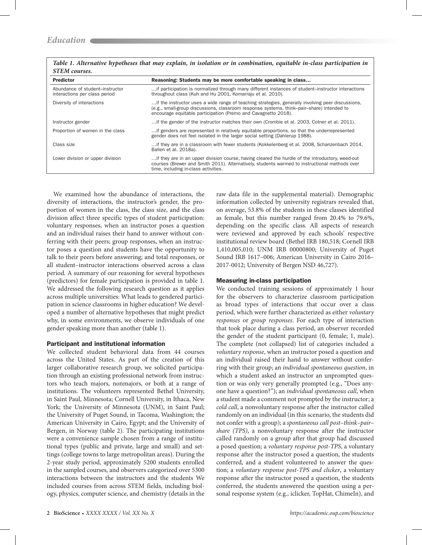| <b>STEM</b> courses.                                             |                                                                                                                                                                                                                                                                  |  |  |
|------------------------------------------------------------------|------------------------------------------------------------------------------------------------------------------------------------------------------------------------------------------------------------------------------------------------------------------|--|--|
| <b>Predictor</b>                                                 | Reasoning: Students may be more comfortable speaking in class                                                                                                                                                                                                    |  |  |
| Abundance of student-instructor<br>interactions per class period | if participation is normalized through many different instances of student–instructor interactions<br>throughout class (Kuh and Hu 2001, Komarraiu et al. 2010).                                                                                                 |  |  |
| Diversity of interactions                                        | if the instructor uses a wide range of teaching strategies, generally involving peer discussions,<br>(e.g., small-group discussions, classroom response systems, think–pair–share) intended to<br>encourage equitable participation (Premo and Cavagnetto 2018). |  |  |
| Instructor gender                                                | if the gender of the instructor matches their own (Crombie et al. 2003, Cotner et al. 2011).                                                                                                                                                                     |  |  |
| Proportion of women in the class                                 | if genders are represented in relatively equitable proportions, so that the underrepresented<br>gender does not feel isolated in the larger social setting (Dahlerup 1988).                                                                                      |  |  |
| Class size                                                       | if they are in a classroom with fewer students (Kokkelenberg et al. 2008, Schanzenbach 2014,<br>Ballen et al. 2018a).                                                                                                                                            |  |  |
| Lower division or upper division                                 | if they are in an upper division course, having cleared the hurdle of the introductory, weed-out<br>courses (Brewer and Smith 2011). Alternatively, students warmed to instructional methods over<br>time, including in-class activities.                        |  |  |

*Table 1. Alternative hypotheses that may explain, in isolation or in combination, equitable in-class participation in* 

We examined how the abundance of interactions, the diversity of interactions, the instructor's gender, the proportion of women in the class, the class size, and the class division affect three specific types of student participation: voluntary responses, when an instructor poses a question and an individual raises their hand to answer without conferring with their peers; group responses, when an instructor poses a question and students have the opportunity to talk to their peers before answering; and total responses, or all student–instructor interactions observed across a class period. A summary of our reasoning for several hypotheses (predictors) for female participation is provided in table 1. We addressed the following research question as it applies across multiple universities: What leads to gendered participation in science classrooms in higher education? We developed a number of alternative hypotheses that might predict why, in some environments, we observe individuals of one gender speaking more than another (table 1).

## Participant and institutional information

We collected student behavioral data from 44 courses across the United States. As part of the creation of this larger collaborative research group, we solicited participation through an existing professional network from instructors who teach majors, nonmajors, or both at a range of institutions. The volunteers represented Bethel University, in Saint Paul, Minnesota; Cornell University, in Ithaca, New York; the University of Minnesota (UNM), in Saint Paul; the University of Puget Sound, in Tacoma, Washington; the American University in Cairo, Egypt; and the University of Bergen, in Norway (table 2). The participating institutions were a convenience sample chosen from a range of institutional types (public and private, large and small) and settings (college towns to large metropolitan areas). During the 2-year study period, approximately 5200 students enrolled in the sampled courses, and observers categorized over 5300 interactions between the instructors and the students We included courses from across STEM fields, including biology, physics, computer science, and chemistry (details in the raw data file in the supplemental material). Demographic information collected by university registrars revealed that, on average, 53.8% of the students in these classes identified as female, but this number ranged from 20.4% to 79.6%, depending on the specific class. All aspects of research were reviewed and approved by each schools' respective institutional review board (Bethel IRB 180,518; Cornell IRB 1,410,005,010; UNM IRB 00000800; University of Puget Sound IRB 1617–006; American University in Cairo 2016– 2017-0012; University of Bergen NSD 46,727).

## Measuring in-class participation

We conducted training sessions of approximately 1 hour for the observers to characterize classroom participation as broad types of interactions that occur over a class period, which were further characterized as either *voluntary responses* or *group responses*. For each type of interaction that took place during a class period, an observer recorded the gender of the student participant (0, female; 1, male). The complete (not collapsed) list of categories included a *voluntary response*, when an instructor posed a question and an individual raised their hand to answer without conferring with their group; an *individual spontaneous question*, in which a student asked an instructor an unprompted question or was only very generally prompted (e.g., "Does anyone have a question?"); an *individual spontaneous call*, when a student made a comment not prompted by the instructor; a *cold call*, a nonvoluntary response after the instructor called randomly on an individual (in this scenario, the students did not confer with a group); a *spontaneous call post–think–pair– share (TPS)*, a nonvoluntary response after the instructor called randomly on a group after that group had discussed a posed question; a *voluntary response post-TPS*, a voluntary response after the instructor posed a question, the students conferred, and a student volunteered to answer the question; a *voluntary response post-TPS and clicker*, a voluntary response after the instructor posed a question, the students conferred, the students answered the question using a personal response system (e.g., iclicker, TopHat, ChimeIn), and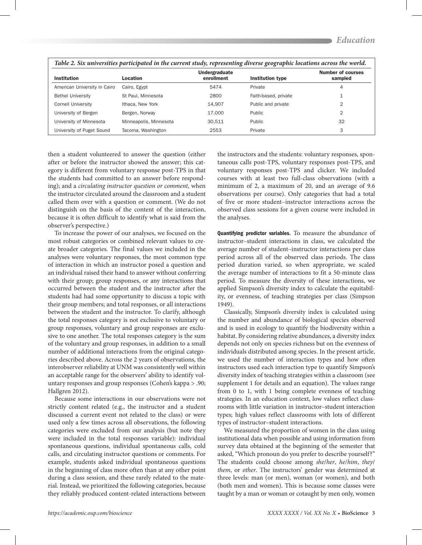| Table 2. Six universities participated in the current study, representing diverse geographic locations across the world. |                        |                             |                      |                                     |  |
|--------------------------------------------------------------------------------------------------------------------------|------------------------|-----------------------------|----------------------|-------------------------------------|--|
| <b>Institution</b>                                                                                                       | <b>Location</b>        | Undergraduate<br>enrollment | Institution type     | <b>Number of courses</b><br>sampled |  |
| American University in Cairo                                                                                             | Cairo, Egypt           | 5474                        | Private              | 4                                   |  |
| <b>Bethel University</b>                                                                                                 | St Paul, Minnesota     | 2800                        | Faith-based, private |                                     |  |
| <b>Cornell University</b>                                                                                                | Ithaca, New York       | 14,907                      | Public and private   | $\overline{2}$                      |  |
| University of Bergen                                                                                                     | Bergen, Norway         | 17,000                      | Public               | 2                                   |  |
| University of Minnesota                                                                                                  | Minneapolis, Minnesota | 30,511                      | Public               | 32                                  |  |
| University of Puget Sound                                                                                                | Tacoma, Washington     | 2553                        | Private              | 3                                   |  |

then a student volunteered to answer the question (either after or before the instructor showed the answer; this category is different from voluntary response post-TPS in that the students had committed to an answer before responding); and a *circulating instructor question or comment*, when the instructor circulated around the classroom and a student called them over with a question or comment. (We do not distinguish on the basis of the content of the interaction, because it is often difficult to identify what is said from the observer's perspective.)

To increase the power of our analyses, we focused on the most robust categories or combined relevant values to create broader categories. The final values we included in the analyses were voluntary responses, the most common type of interaction in which an instructor posed a question and an individual raised their hand to answer without conferring with their group; group responses, or any interactions that occurred between the student and the instructor after the students had had some opportunity to discuss a topic with their group members; and total responses, or all interactions between the student and the instructor. To clarify, although the total responses category is not exclusive to voluntary or group responses, voluntary and group responses are exclusive to one another. The total responses category is the sum of the voluntary and group responses, in addition to a small number of additional interactions from the original categories described above. Across the 2 years of observations, the interobserver reliability at UNM was consistently well within an acceptable range for the observers' ability to identify voluntary responses and group responses (Cohen's kappa > .90; Hallgren 2012).

Because some interactions in our observations were not strictly content related (e.g., the instructor and a student discussed a current event not related to the class) or were used only a few times across all observations, the following categories were excluded from our analysis (but note they were included in the total responses variable): individual spontaneous questions, individual spontaneous calls, cold calls, and circulating instructor questions or comments. For example, students asked individual spontaneous questions in the beginning of class more often than at any other point during a class session, and these rarely related to the material. Instead, we prioritized the following categories, because they reliably produced content-related interactions between the instructors and the students: voluntary responses, spontaneous calls post-TPS, voluntary responses post-TPS, and voluntary responses post-TPS and clicker. We included courses with at least two full-class observations (with a minimum of 2, a maximum of 20, and an average of 9.6 observations per course). Only categories that had a total of five or more student–instructor interactions across the observed class sessions for a given course were included in the analyses.

Quantifying predictor variables. To measure the abundance of instructor–student interactions in class, we calculated the average number of student–instructor interactions per class period across all of the observed class periods. The class period duration varied, so when appropriate, we scaled the average number of interactions to fit a 50-minute class period. To measure the diversity of these interactions, we applied Simpson's diversity index to calculate the equitability, or evenness, of teaching strategies per class (Simpson 1949).

Classically, Simpson's diversity index is calculated using the number and abundance of biological species observed and is used in ecology to quantify the biodiversity within a habitat. By considering relative abundances, a diversity index depends not only on species richness but on the evenness of individuals distributed among species. In the present article, we used the number of interaction types and how often instructors used each interaction type to quantify Simpson's diversity index of teaching strategies within a classroom (see supplement 1 for details and an equation). The values range from 0 to 1, with 1 being complete evenness of teaching strategies. In an education context, low values reflect classrooms with little variation in instructor–student interaction types; high values reflect classrooms with lots of different types of instructor–student interactions.

We measured the proportion of women in the class using institutional data when possible and using information from survey data obtained at the beginning of the semester that asked, "Which pronoun do you prefer to describe yourself?" The students could choose among *she*/*her*, *he*/*him*, *they*/ *them*, or *other*. The instructors' gender was determined at three levels: man (or men), woman (or women), and both (both men and women). This is because some classes were taught by a man or woman or cotaught by men only, women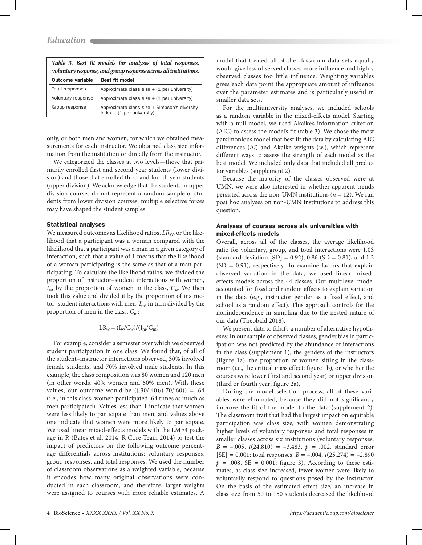| Table 3. Best fit models for analyses of total responses,<br>voluntary response, and group response across all institutions. |                                                                                |  |  |  |
|------------------------------------------------------------------------------------------------------------------------------|--------------------------------------------------------------------------------|--|--|--|
| <b>Outcome variable</b><br><b>Best fit model</b>                                                                             |                                                                                |  |  |  |
| Total responses                                                                                                              | Approximate class size $+$ (1 per university)                                  |  |  |  |
| Voluntary response                                                                                                           | Approximate class size $+$ (1 per university)                                  |  |  |  |
| Group response                                                                                                               | Approximate class size $+$ Simpson's diversity<br>$index + (1 per university)$ |  |  |  |

only, or both men and women, for which we obtained measurements for each instructor. We obtained class size information from the institution or directly from the instructor.

We categorized the classes at two levels—those that primarily enrolled first and second year students (lower division) and those that enrolled third and fourth year students (upper division). We acknowledge that the students in upper division courses do not represent a random sample of students from lower division courses; multiple selective forces may have shaped the student samples.

## Statistical analyses

We measured outcomes as likelihood ratios,  $LR<sub>W</sub>$ , or the likelihood that a participant was a woman compared with the likelihood that a participant was a man in a given category of interaction, such that a value of 1 means that the likelihood of a woman participating is the same as that of a man participating. To calculate the likelihood ratios, we divided the proportion of instructor–student interactions with women,  $I_w$  by the proportion of women in the class,  $C_w$ . We then took this value and divided it by the proportion of instructor–student interactions with men,  $I<sub>m</sub>$ , in turn divided by the proportion of men in the class, *C*m:

$$
LR_w = (I_w/C_w)/(I_m/C_m)
$$

For example, consider a semester over which we observed student participation in one class. We found that, of all of the student–instructor interactions observed, 30% involved female students, and 70% involved male students. In this example, the class composition was 80 women and 120 men (in other words, 40% women and 60% men). With these values, our outcome would be  $((.30/.40)/(.70/.60)) = .64$ (i.e., in this class, women participated .64 times as much as men participated). Values less than 1 indicate that women were less likely to participate than men, and values above one indicate that women were more likely to participate. We used linear mixed-effects models with the LME4 package in R (Bates et al. 2014, R Core Team 2014) to test the impact of predictors on the following outcome percentage differentials across institutions: voluntary responses, group responses, and total responses. We used the number of classroom observations as a weighted variable, because it encodes how many original observations were conducted in each classroom, and therefore, larger weights were assigned to courses with more reliable estimates. A model that treated all of the classroom data sets equally would give less observed classes more influence and highly observed classes too little influence. Weighting variables gives each data point the appropriate amount of influence over the parameter estimates and is particularly useful in smaller data sets.

For the multiuniversity analyses, we included schools as a random variable in the mixed-effects model. Starting with a null model, we used Akaike's information criterion (AIC) to assess the model's fit (table 3). We chose the most parsimonious model that best fit the data by calculating AIC differences  $(\Delta i)$  and Akaike weights  $(w_i)$ , which represent different ways to assess the strength of each model as the best model. We included only data that included all predictor variables (supplement 2).

Because the majority of the classes observed were at UMN, we were also interested in whether apparent trends persisted across the non-UMN institutions ( $n = 12$ ). We ran post hoc analyses on non-UMN institutions to address this question.

# Analyses of courses across six universities with mixed-effects models

Overall, across all of the classes, the average likelihood ratio for voluntary, group, and total interactions were 1.03 (standard deviation [SD] = 0.92), 0.86 (SD = 0.81), and 1.2  $(SD = 0.91)$ , respectively. To examine factors that explain observed variation in the data, we used linear mixedeffects models across the 44 classes. Our multilevel model accounted for fixed and random effects to explain variation in the data (e.g., instructor gender as a fixed effect, and school as a random effect). This approach controls for the nonindependence in sampling due to the nested nature of our data (Theobald 2018).

We present data to falsify a number of alternative hypotheses: In our sample of observed classes, gender bias in participation was not predicted by the abundance of interactions in the class (supplement 1), the genders of the instructors (figure 1a), the proportion of women sitting in the classroom (i.e., the critical mass effect; figure 1b), or whether the courses were lower (first and second year) or upper division (third or fourth year; figure 2a).

During the model selection process, all of these variables were eliminated, because they did not significantly improve the fit of the model to the data (supplement 2). The classroom trait that had the largest impact on equitable participation was class size, with women demonstrating higher levels of voluntary responses and total responses in smaller classes across six institutions (voluntary responses,  $B = -.005, t(24.810) = -3.483, p = .002, standard error$  $[SE] = 0.001$ ; total responses,  $B = -.004$ ,  $t(25.274) = -2.890$  $p = .008$ , SE = 0.001; figure 3). According to these estimates, as class size increased, fewer women were likely to voluntarily respond to questions posed by the instructor. On the basis of the estimated effect size, an increase in class size from 50 to 150 students decreased the likelihood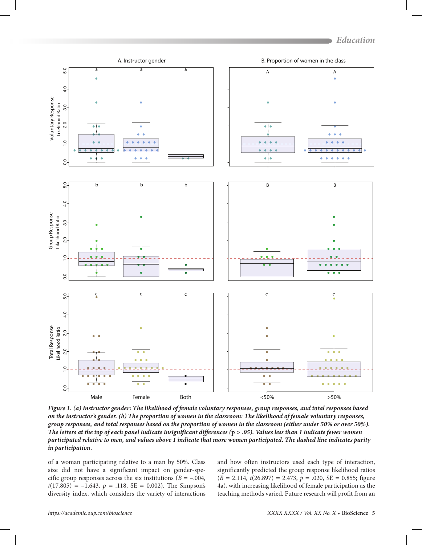

*Figure 1. (a) Instructor gender: The likelihood of female voluntary responses, group responses, and total responses based on the instructor's gender. (b) The proportion of women in the classroom: The likelihood of female voluntary responses, group responses, and total responses based on the proportion of women in the classroom (either under 50% or over 50%). The letters at the top of each panel indicate insignificant differences (***p** *> .05). Values less than 1 indicate fewer women participated relative to men, and values above 1 indicate that more women participated. The dashed line indicates parity in participation.*

of a woman participating relative to a man by 50%. Class size did not have a significant impact on gender-specific group responses across the six institutions ( $B = -.004$ ,  $t(17.805) = -1.643$ ,  $p = .118$ ,  $SE = 0.002$ ). The Simpson's diversity index, which considers the variety of interactions and how often instructors used each type of interaction, significantly predicted the group response likelihood ratios  $(B = 2.114, t(26.897) = 2.473, p = .020, SE = 0.855; figure$ 4a), with increasing likelihood of female participation as the teaching methods varied. Future research will profit from an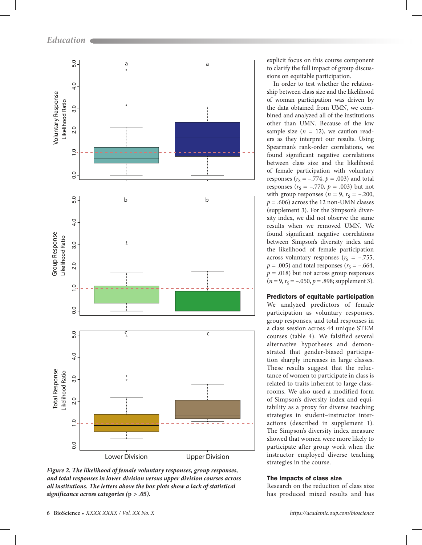*Education*



*Figure 2. The likelihood of female voluntary responses, group responses, and total responses in lower division versus upper division courses across all institutions. The letters above the box plots show a lack of statistical significance across categories (***p** *> .05).*

explicit focus on this course component to clarify the full impact of group discussions on equitable participation.

In order to test whether the relationship between class size and the likelihood of woman participation was driven by the data obtained from UMN, we combined and analyzed all of the institutions other than UMN. Because of the low sample size  $(n = 12)$ , we caution readers as they interpret our results. Using Spearman's rank-order correlations, we found significant negative correlations between class size and the likelihood of female participation with voluntary responses ( $r_S = -.774$ ,  $p = .003$ ) and total responses ( $r_S = -.770$ ,  $p = .003$ ) but not with group responses ( $n = 9$ ,  $r_S = -.200$ ,  $p = .606$ ) across the 12 non-UMN classes (supplement 3). For the Simpson's diversity index, we did not observe the same results when we removed UMN. We found significant negative correlations between Simpson's diversity index and the likelihood of female participation across voluntary responses ( $r_S$  =  $-.755$ , *p* = .005) and total responses ( $r_s$  = –.664,  $p = .018$ ) but not across group responses  $(n = 9, r<sub>S</sub> = -.050, p = .898; supplement 3).$ 

Predictors of equitable participation We analyzed predictors of female participation as voluntary responses, group responses, and total responses in a class session across 44 unique STEM courses (table 4). We falsified several alternative hypotheses and demonstrated that gender-biased participation sharply increases in large classes. These results suggest that the reluctance of women to participate in class is related to traits inherent to large classrooms. We also used a modified form of Simpson's diversity index and equitability as a proxy for diverse teaching strategies in student–instructor interactions (described in supplement 1). The Simpson's diversity index measure showed that women were more likely to participate after group work when the instructor employed diverse teaching strategies in the course.

# The impacts of class size

Research on the reduction of class size has produced mixed results and has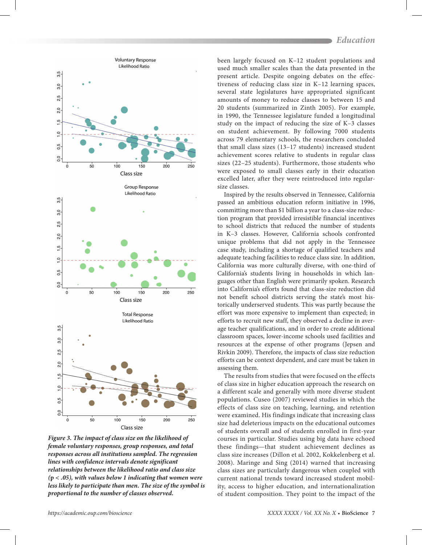

*Figure 3. The impact of class size on the likelihood of female voluntary responses, group responses, and total responses across all institutions sampled. The regression lines with confidence intervals denote significant relationships between the likelihood ratio and class size (***p** *< .05), with values below 1 indicating that women were less likely to participate than men. The size of the symbol is proportional to the number of classes observed.*

been largely focused on K–12 student populations and used much smaller scales than the data presented in the present article. Despite ongoing debates on the effectiveness of reducing class size in K–12 learning spaces, several state legislatures have appropriated significant amounts of money to reduce classes to between 15 and 20 students (summarized in Zinth 2005). For example, in 1990, the Tennessee legislature funded a longitudinal study on the impact of reducing the size of K–3 classes on student achievement. By following 7000 students across 79 elementary schools, the researchers concluded that small class sizes (13–17 students) increased student achievement scores relative to students in regular class sizes (22–25 students). Furthermore, those students who were exposed to small classes early in their education excelled later, after they were reintroduced into regularsize classes.

Inspired by the results observed in Tennessee, California passed an ambitious education reform initiative in 1996, committing more than \$1 billion a year to a class-size reduction program that provided irresistible financial incentives to school districts that reduced the number of students in K–3 classes. However, California schools confronted unique problems that did not apply in the Tennessee case study, including a shortage of qualified teachers and adequate teaching facilities to reduce class size. In addition, California was more culturally diverse, with one-third of California's students living in households in which languages other than English were primarily spoken. Research into California's efforts found that class-size reduction did not benefit school districts serving the state's most historically underserved students. This was partly because the effort was more expensive to implement than expected; in efforts to recruit new staff, they observed a decline in average teacher qualifications, and in order to create additional classroom spaces, lower-income schools used facilities and resources at the expense of other programs (Jepsen and Rivkin 2009). Therefore, the impacts of class size reduction efforts can be context dependent, and care must be taken in assessing them.

The results from studies that were focused on the effects of class size in higher education approach the research on a different scale and generally with more diverse student populations. Cuseo (2007) reviewed studies in which the effects of class size on teaching, learning, and retention were examined. His findings indicate that increasing class size had deleterious impacts on the educational outcomes of students overall and of students enrolled in first-year courses in particular. Studies using big data have echoed these findings—that student achievement declines as class size increases (Dillon et al. 2002, Kokkelenberg et al. 2008). Maringe and Sing (2014) warned that increasing class sizes are particularly dangerous when coupled with current national trends toward increased student mobility, access to higher education, and internationalization of student composition. They point to the impact of the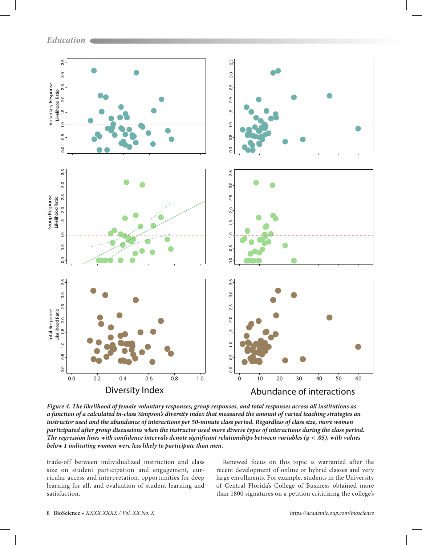*Education*



*Figure 4. The likelihood of female voluntary responses, group responses, and total responses across all institutions as a function of a calculated in-class Simpson's diversity index that measured the amount of varied teaching strategies an instructor used and the abundance of interactions per 50-minute class period. Regardless of class size, more women participated after group discussions when the instructor used more diverse types of interactions during the class period. The regression lines with confidence intervals denote significant relationships between variables (***p** *< .05), with values below 1 indicating women were less likely to participate than men.*

trade-off between individualized instruction and class size on student participation and engagement, curricular access and interpretation, opportunities for deep learning for all, and evaluation of student learning and satisfaction.

Renewed focus on this topic is warranted after the recent development of online or hybrid classes and very large enrollments. For example, students in the University of Central Florida's College of Business obtained more than 1800 signatures on a petition criticizing the college's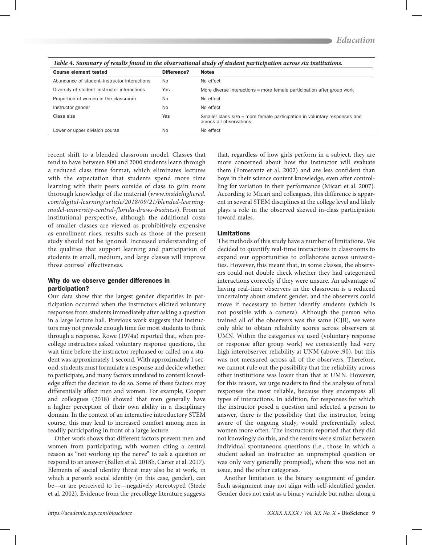| Table 4. Summary of results found in the observational study of student participation across six institutions. |             |                                                                                                      |  |  |  |
|----------------------------------------------------------------------------------------------------------------|-------------|------------------------------------------------------------------------------------------------------|--|--|--|
| <b>Course element tested</b>                                                                                   | Difference? | <b>Notes</b>                                                                                         |  |  |  |
| Abundance of student-instructor interactions                                                                   | <b>No</b>   | No effect                                                                                            |  |  |  |
| Diversity of student-instructor interactions                                                                   | Yes         | More diverse interactions = more female participation after group work                               |  |  |  |
| Proportion of women in the classroom                                                                           | No          | No effect                                                                                            |  |  |  |
| Instructor gender                                                                                              | No          | No effect                                                                                            |  |  |  |
| Class size                                                                                                     | Yes         | Smaller class size = more female participation in voluntary responses and<br>across all observations |  |  |  |
| Lower or upper division course                                                                                 | No          | No effect                                                                                            |  |  |  |

recent shift to a blended classroom model. Classes that tend to have between 800 and 2000 students learn through a reduced class time format, which eliminates lectures with the expectation that students spend more time learning with their peers outside of class to gain more thorough knowledge of the material (*www.insidehighered. com/digital-learning/article/2018/09/21/blended-learningmodel-university-central-florida-draws-business*). From an institutional perspective, although the additional costs of smaller classes are viewed as prohibitively expensive as enrollment rises, results such as those of the present study should not be ignored. Increased understanding of the qualities that support learning and participation of students in small, medium, and large classes will improve those courses' effectiveness.

# Why do we observe gender differences in participation?

Our data show that the largest gender disparities in participation occurred when the instructors elicited voluntary responses from students immediately after asking a question in a large lecture hall. Previous work suggests that instructors may not provide enough time for most students to think through a response. Rowe (1974a) reported that, when precollege instructors asked voluntary response questions, the wait time before the instructor rephrased or called on a student was approximately 1 second. With approximately 1 second, students must formulate a response and decide whether to participate, and many factors unrelated to content knowledge affect the decision to do so. Some of these factors may differentially affect men and women. For example, Cooper and colleagues (2018) showed that men generally have a higher perception of their own ability in a disciplinary domain. In the context of an interactive introductory STEM course, this may lead to increased comfort among men in readily participating in front of a large lecture.

Other work shows that different factors prevent men and women from participating, with women citing a central reason as "not working up the nerve" to ask a question or respond to an answer (Ballen et al. 2018b, Carter et al. 2017). Elements of social identity threat may also be at work, in which a person's social identity (in this case, gender), can be—or are perceived to be—negatively stereotyped (Steele et al. 2002). Evidence from the precollege literature suggests

that, regardless of how girls perform in a subject, they are more concerned about how the instructor will evaluate them (Pomerantz et al. 2002) and are less confident than boys in their science content knowledge, even after controlling for variation in their performance (Micari et al. 2007). According to Micari and colleagues, this difference is apparent in several STEM disciplines at the college level and likely plays a role in the observed skewed in-class participation toward males.

# Limitations

The methods of this study have a number of limitations. We decided to quantify real-time interactions in classrooms to expand our opportunities to collaborate across universities. However, this meant that, in some classes, the observers could not double check whether they had categorized interactions correctly if they were unsure. An advantage of having real-time observers in the classroom is a reduced uncertainty about student gender, and the observers could move if necessary to better identify students (which is not possible with a camera). Although the person who trained all of the observers was the same (CJB), we were only able to obtain reliability scores across observers at UMN. Within the categories we used (voluntary response or response after group work) we consistently had very high interobserver reliability at UNM (above .90), but this was not measured across all of the observers. Therefore, we cannot rule out the possibility that the reliability across other institutions was lower than that at UMN. However, for this reason, we urge readers to find the analyses of total responses the most reliable, because they encompass all types of interactions. In addition, for responses for which the instructor posed a question and selected a person to answer, there is the possibility that the instructor, being aware of the ongoing study, would preferentially select women more often. The instructors reported that they did not knowingly do this, and the results were similar between individual spontaneous questions (i.e., those in which a student asked an instructor an unprompted question or was only very generally prompted), where this was not an issue, and the other categories.

Another limitation is the binary assignment of gender. Such assignment may not align with self-identified gender. Gender does not exist as a binary variable but rather along a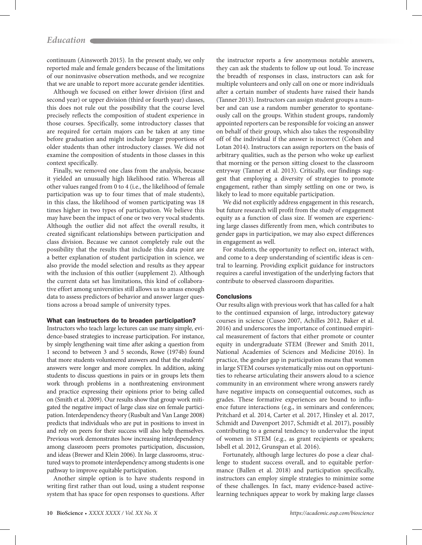continuum (Ainsworth 2015). In the present study, we only reported male and female genders because of the limitations of our noninvasive observation methods, and we recognize that we are unable to report more accurate gender identities.

Although we focused on either lower division (first and second year) or upper division (third or fourth year) classes, this does not rule out the possibility that the course level precisely reflects the composition of student experience in those courses. Specifically, some introductory classes that are required for certain majors can be taken at any time before graduation and might include larger proportions of older students than other introductory classes. We did not examine the composition of students in those classes in this context specifically.

Finally, we removed one class from the analysis, because it yielded an unusually high likelihood ratio. Whereas all other values ranged from 0 to 4 (i.e., the likelihood of female participation was up to four times that of male students), in this class, the likelihood of women participating was 18 times higher in two types of participation. We believe this may have been the impact of one or two very vocal students. Although the outlier did not affect the overall results, it created significant relationships between participation and class division. Because we cannot completely rule out the possibility that the results that include this data point are a better explanation of student participation in science, we also provide the model selection and results as they appear with the inclusion of this outlier (supplement 2). Although the current data set has limitations, this kind of collaborative effort among universities still allows us to amass enough data to assess predictors of behavior and answer larger questions across a broad sample of university types.

## What can instructors do to broaden participation?

Instructors who teach large lectures can use many simple, evidence-based strategies to increase participation. For instance, by simply lengthening wait time after asking a question from 1 second to between 3 and 5 seconds, Rowe (1974b) found that more students volunteered answers and that the students' answers were longer and more complex. In addition, asking students to discuss questions in pairs or in groups lets them work through problems in a nonthreatening environment and practice expressing their opinions prior to being called on (Smith et al. 2009). Our results show that group work mitigated the negative impact of large class size on female participation. Interdependency theory (Rusbult and Van Lange 2008) predicts that individuals who are put in positions to invest in and rely on peers for their success will also help themselves. Previous work demonstrates how increasing interdependency among classroom peers promotes participation, discussion, and ideas (Brewer and Klein 2006). In large classrooms, structured ways to promote interdependency among students is one pathway to improve equitable participation.

Another simple option is to have students respond in writing first rather than out loud, using a student response system that has space for open responses to questions. After the instructor reports a few anonymous notable answers, they can ask the students to follow up out loud. To increase the breadth of responses in class, instructors can ask for multiple volunteers and only call on one or more individuals after a certain number of students have raised their hands (Tanner 2013). Instructors can assign student groups a number and can use a random number generator to spontaneously call on the groups. Within student groups, randomly appointed reporters can be responsible for voicing an answer on behalf of their group, which also takes the responsibility off of the individual if the answer is incorrect (Cohen and Lotan 2014). Instructors can assign reporters on the basis of arbitrary qualities, such as the person who woke up earliest that morning or the person sitting closest to the classroom entryway (Tanner et al. 2013). Critically, our findings suggest that employing a diversity of strategies to promote engagement, rather than simply settling on one or two, is likely to lead to more equitable participation.

We did not explicitly address engagement in this research, but future research will profit from the study of engagement equity as a function of class size. If women are experiencing large classes differently from men, which contributes to gender gaps in participation, we may also expect differences in engagement as well.

For students, the opportunity to reflect on, interact with, and come to a deep understanding of scientific ideas is central to learning. Providing explicit guidance for instructors requires a careful investigation of the underlying factors that contribute to observed classroom disparities.

## **Conclusions**

Our results align with previous work that has called for a halt to the continued expansion of large, introductory gateway courses in science (Cuseo 2007, Achilles 2012, Baker et al. 2016) and underscores the importance of continued empirical measurement of factors that either promote or counter equity in undergraduate STEM (Brewer and Smith 2011, National Academies of Sciences and Medicine 2016). In practice, the gender gap in participation means that women in large STEM courses systematically miss out on opportunities to rehearse articulating their answers aloud to a science community in an environment where wrong answers rarely have negative impacts on consequential outcomes, such as grades. These formative experiences are bound to influence future interactions (e.g., in seminars and conferences; Pritchard et al. 2014, Carter et al. 2017, Hinsley et al. 2017, Schmidt and Davenport 2017, Schmidt et al. 2017), possibly contributing to a general tendency to undervalue the input of women in STEM (e.g., as grant recipients or speakers; Isbell et al. 2012, Grunspan et al. 2016).

Fortunately, although large lectures do pose a clear challenge to student success overall, and to equitable performance (Ballen et al. 2018) and participation specifically, instructors can employ simple strategies to minimize some of these challenges. In fact, many evidence-based activelearning techniques appear to work by making large classes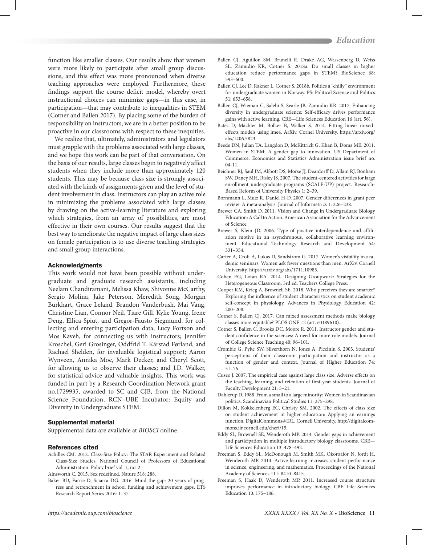function like smaller classes. Our results show that women were more likely to participate after small group discussions, and this effect was more pronounced when diverse teaching approaches were employed. Furthermore, these findings support the course deficit model, whereby overt instructional choices can minimize gaps—in this case, in participation—that may contribute to inequalities in STEM (Cotner and Ballen 2017). By placing some of the burden of responsibility on instructors, we are in a better position to be proactive in our classrooms with respect to these inequities.

We realize that, ultimately, administrators and legislators must grapple with the problems associated with large classes, and we hope this work can be part of that conversation. On the basis of our results, large classes begin to negatively affect students when they include more than approximately 120 students. This may be because class size is strongly associated with the kinds of assignments given and the level of student involvement in class. Instructors can play an active role in minimizing the problems associated with large classes by drawing on the active-learning literature and exploring which strategies, from an array of possibilities, are most effective in their own courses. Our results suggest that the best way to ameliorate the negative impact of large class sizes on female participation is to use diverse teaching strategies and small group interactions.

## Acknowledgments

This work would not have been possible without undergraduate and graduate research assistants, including Neelam Chandiramani, Melissa Khaw, Shivonne McCarthy, Sergio Molina, Jake Peterson, Meredith Song, Morgan Burkhart, Grace Leland, Brandon Vanderbush, Mai Vang, Christine Lian, Connor Neil, Tiare Gill, Kylie Young, Irene Deng, Ellica Spiut, and Gregor-Fausto Siegmund, for collecting and entering participation data; Lucy Fortson and Mos Kaveh, for connecting us with instructors; Jennifer Kroschel, Geri Grosinger, Oddfrid T. Kårstad Førland, and Rachael Shelden, for invaluable logistical support; Aaron Wynveen, Annika Moe, Mark Decker, and Cheryl Scott, for allowing us to observe their classes; and J.D. Walker, for statistical advice and valuable insights. This work was funded in part by a Research Coordination Network grant no.1729935, awarded to SC and CJB, from the National Science Foundation, RCN–UBE Incubator: Equity and Diversity in Undergraduate STEM.

## Supplemental material

Supplemental data are available at *[BIOSCI](https://academic.oup.com/bioscience/article-lookup/doi/10.1093/biosci/biz069#supplementary-data)* online.

#### References cited

Achilles CM. 2012. Class-Size Policy: The STAR Experiment and Related Class-Size Studies. National Council of Professors of Educational Administration. Policy brief vol. 1, no. 2.

Ainsworth C. 2015. Sex redefined. Nature 518: 288.

Baker BD, Farrie D, Sciarra DG. 2016. Mind the gap: 20 years of progress and retrenchment in school funding and achievement gaps. ETS Research Report Series 2016: 1–37.

- Ballen CJ, Lee D, Rakner L, Cotner S. 2018b. Politics a "chilly" environment for undergraduate women in Norway. PS: Political Science and Politics 51: 653–658.
- Ballen CJ, Wieman C, Salehi S, Searle JB, Zamudio KR. 2017. Enhancing diversity in undergraduate science: Self-efficacy drives performance gains with active learning. CBE—Life Sciences Education 16 (art. 56).
- Bates D, Mächler M, Bolker B, Walker S. 2014. Fitting linear mixedeffects models using lme4. ArXiv. Cornel University. [https://arxiv.org/](https://arxiv.org/abs/1406.5823) [abs/1406.5823.](https://arxiv.org/abs/1406.5823)
- Beede DN, Julian TA, Langdon D, McKittrick G, Khan B, Doms ME. 2011. Women in STEM: A gender gap to innovation. US Department of Commerce. Economics and Statistics Administration issue brief no. 04-11.
- Beichner RJ, Saul JM, Abbott DS, Morse JJ, Deardorff D, Allain RJ, Bonham SW, Dancy MH, Risley JS. 2007. The student-centered activities for large enrollment undergraduate programs (SCALE-UP) project. Research-Based Reform of University Physics 1: 2–39.
- Bornmann L, Mutz R, Daniel H-D. 2007. Gender differences in grant peer review: A meta-analysis. Journal of Informetrics 1: 226–238.
- Brewer CA, Smith D. 2011. Vision and Change in Undergraduate Biology Education: A Call to Action. American Association for the Advancement of Science.
- Brewer S, Klein JD. 2006. Type of positive interdependence and affiliation motive in an asynchronous, collaborative learning environment. Educational Technology Research and Development 54: 331–354.
- Carter A, Croft A, Lukas D, Sandstrom G. 2017. Women's visibility in academic seminars: Women ask fewer questions than men. ArXiv. Cornell University. https://arxiv.org/abs/1711.10985.
- Cohen EG, Lotan RA. 2014. Designing Groupwork: Strategies for the Heterogeneous Classroom, 3rd ed. Teachers College Press.
- Cooper KM, Krieg A, Brownell SE. 2018. Who perceives they are smarter? Exploring the influence of student characteristics on student academic self-concept in physiology. Advances in Physiology Education 42: 200–208.
- Cotner S, Ballen CJ. 2017. Can mixed assessment methods make biology classes more equitable? PLOS ONE 12 (art. e0189610).
- Cotner S, Ballen C, Brooks DC, Moore R. 2011. Instructor gender and student confidence in the sciences: A need for more role models. Journal of College Science Teaching 40: 96–101.
- Crombie G, Pyke SW, Silverthorn N, Jones A, Piccinin S. 2003. Students' perceptions of their classroom participation and instructor as a function of gender and context. Journal of Higher Education 74: 51–76.
- Cuseo J. 2007. The empirical case against large class size: Adverse effects on the teaching, learning, and retention of first-year students. Journal of Faculty Development 21: 5–21.
- Dahlerup D. 1988. From a small to a large minority: Women in Scandinavian politics. Scandinavian Political Studies 11: 275–298.
- Dillon M, Kokkelenberg EC, Christy SM. 2002. The effects of class size on student achievement in higher education: Applying an earnings function. DigitalCommons@IRL, Cornell University. http://digitalcommons.ilr.cornell.edu/cheri/15.
- Eddy SL, Brownell SE, Wenderoth MP. 2014. Gender gaps in achievement and participation in multiple introductory biology classrooms. CBE— Life Sciences Education 13: 478–492.
- Freeman S, Eddy SL, McDonough M, Smith MK, Okoroafor N, Jordt H, Wenderoth MP. 2014. Active learning increases student performance in science, engineering, and mathematics. Proceedings of the National Academy of Sciences 111: 8410–8415.
- Freeman S, Haak D, Wenderoth MP. 2011. Increased course structure improves performance in introductory biology. CBE Life Sciences Education 10: 175–186.